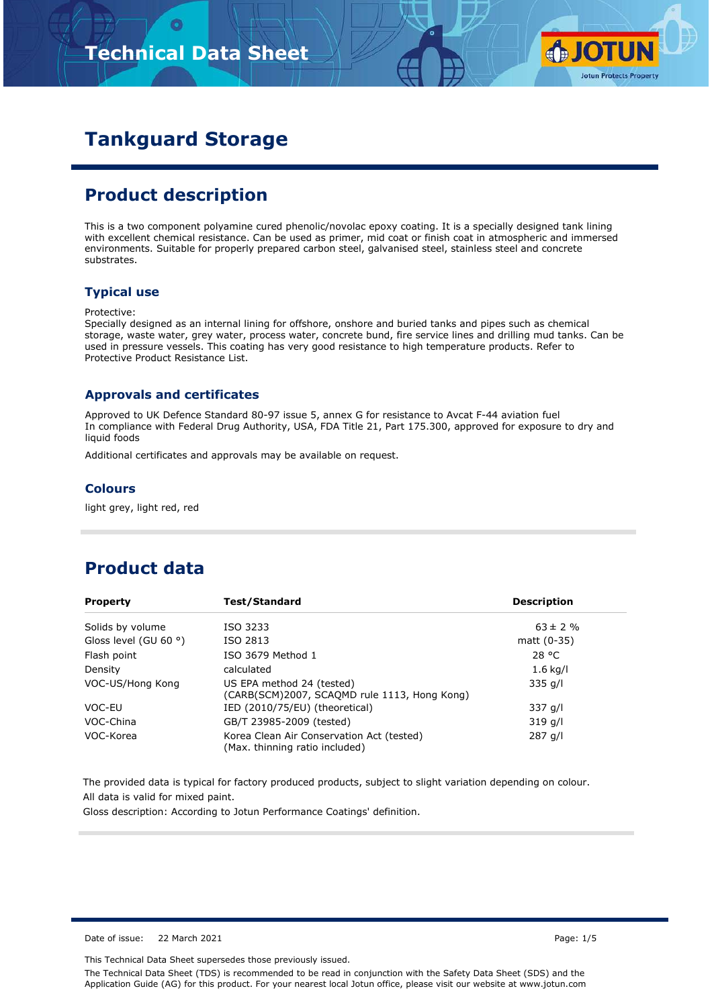

# **Tankguard Storage**

## **Product description**

This is a two component polyamine cured phenolic/novolac epoxy coating. It is a specially designed tank lining with excellent chemical resistance. Can be used as primer, mid coat or finish coat in atmospheric and immersed environments. Suitable for properly prepared carbon steel, galvanised steel, stainless steel and concrete substrates.

#### **Typical use**

#### Protective:

Specially designed as an internal lining for offshore, onshore and buried tanks and pipes such as chemical storage, waste water, grey water, process water, concrete bund, fire service lines and drilling mud tanks. Can be used in pressure vessels. This coating has very good resistance to high temperature products. Refer to Protective Product Resistance List.

#### **Approvals and certificates**

Approved to UK Defence Standard 80-97 issue 5, annex G for resistance to Avcat F-44 aviation fuel In compliance with Federal Drug Authority, USA, FDA Title 21, Part 175.300, approved for exposure to dry and liquid foods

Additional certificates and approvals may be available on request.

#### **Colours**

light grey, light red, red

### **Product data**

| <b>Property</b>                | Test/Standard                                                               | <b>Description</b> |
|--------------------------------|-----------------------------------------------------------------------------|--------------------|
| Solids by volume               | ISO 3233                                                                    | $63 \pm 2 \%$      |
| Gloss level (GU 60 $\degree$ ) | ISO 2813                                                                    | matt $(0-35)$      |
| Flash point                    | ISO 3679 Method 1                                                           | 28 °C              |
| Density                        | calculated                                                                  | $1.6$ kg/l         |
| VOC-US/Hong Kong               | US EPA method 24 (tested)<br>(CARB(SCM)2007, SCAQMD rule 1113, Hong Kong)   | $335$ g/l          |
| VOC-EU                         | IED (2010/75/EU) (theoretical)                                              | $337$ g/l          |
| VOC-China                      | GB/T 23985-2009 (tested)                                                    | 319 g/l            |
| VOC-Korea                      | Korea Clean Air Conservation Act (tested)<br>(Max. thinning ratio included) | 287 g/l            |

The provided data is typical for factory produced products, subject to slight variation depending on colour. All data is valid for mixed paint.

Gloss description: According to Jotun Performance Coatings' definition.

Date of issue: 22 March 2021 Page: 1/5

This Technical Data Sheet supersedes those previously issued.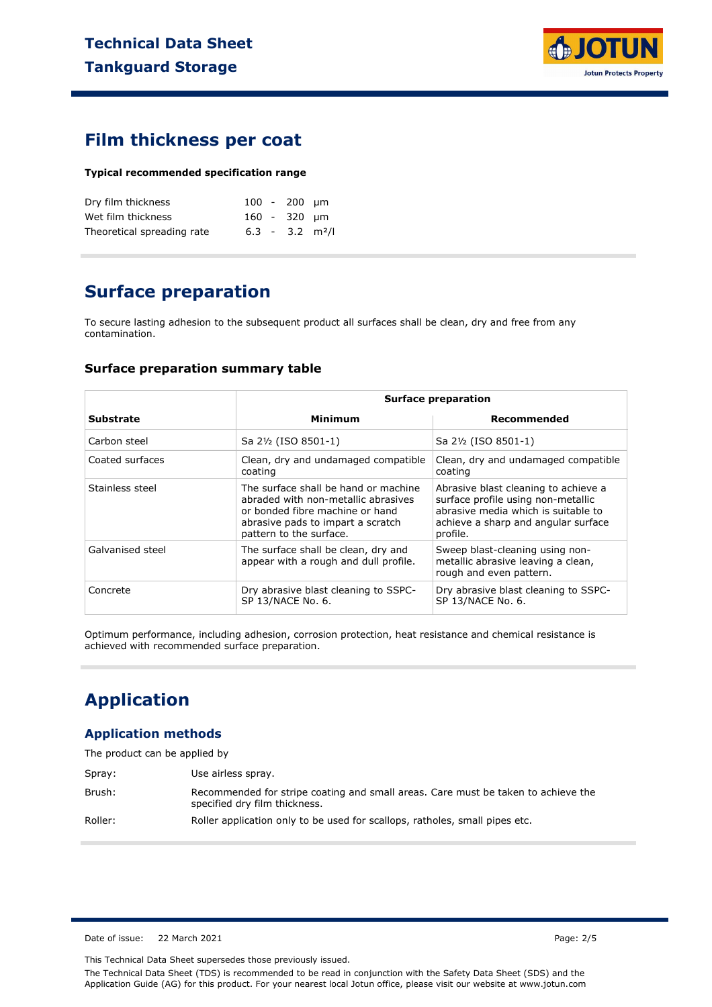

### **Film thickness per coat**

#### **Typical recommended specification range**

| Dry film thickness         |  | $100 - 200$ um |                               |
|----------------------------|--|----------------|-------------------------------|
| Wet film thickness         |  | 160 - 320 um   |                               |
| Theoretical spreading rate |  |                | $6.3 - 3.2$ m <sup>2</sup> /l |

## **Surface preparation**

To secure lasting adhesion to the subsequent product all surfaces shall be clean, dry and free from any contamination.

#### **Surface preparation summary table**

|                  | <b>Surface preparation</b>                                                                                                                                                     |                                                                                                                                                                      |  |
|------------------|--------------------------------------------------------------------------------------------------------------------------------------------------------------------------------|----------------------------------------------------------------------------------------------------------------------------------------------------------------------|--|
| <b>Substrate</b> | Minimum                                                                                                                                                                        | Recommended                                                                                                                                                          |  |
| Carbon steel     | Sa 2½ (ISO 8501-1)                                                                                                                                                             | Sa 2½ (ISO 8501-1)                                                                                                                                                   |  |
| Coated surfaces  | Clean, dry and undamaged compatible<br>coating                                                                                                                                 | Clean, dry and undamaged compatible<br>coating                                                                                                                       |  |
| Stainless steel  | The surface shall be hand or machine<br>abraded with non-metallic abrasives<br>or bonded fibre machine or hand<br>abrasive pads to impart a scratch<br>pattern to the surface. | Abrasive blast cleaning to achieve a<br>surface profile using non-metallic<br>abrasive media which is suitable to<br>achieve a sharp and angular surface<br>profile. |  |
| Galvanised steel | The surface shall be clean, dry and<br>appear with a rough and dull profile.                                                                                                   | Sweep blast-cleaning using non-<br>metallic abrasive leaving a clean,<br>rough and even pattern.                                                                     |  |
| Concrete         | Dry abrasive blast cleaning to SSPC-<br>SP 13/NACE No. 6.                                                                                                                      | Dry abrasive blast cleaning to SSPC-<br>SP 13/NACE No. 6.                                                                                                            |  |

Optimum performance, including adhesion, corrosion protection, heat resistance and chemical resistance is achieved with recommended surface preparation.

### **Application**

#### **Application methods**

Spray: Use airless spray. Brush: Recommended for stripe coating and small areas. Care must be taken to achieve the specified dry film thickness. Roller: Roller application only to be used for scallops, ratholes, small pipes etc.

Date of issue: 22 March 2021 **Page: 2/5** 

This Technical Data Sheet supersedes those previously issued.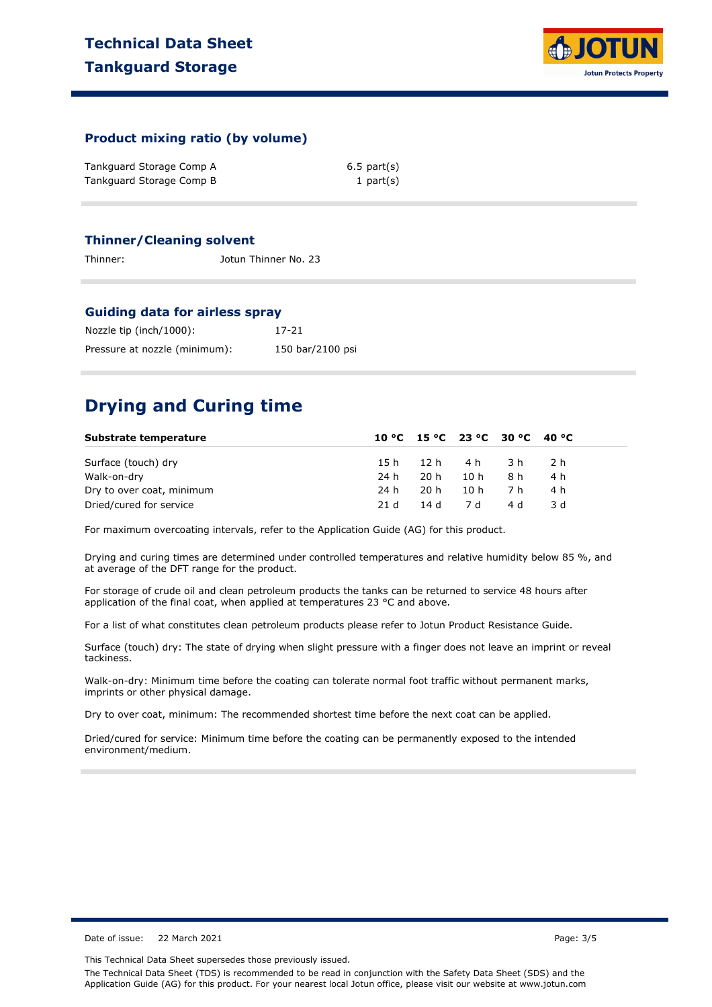

#### **Product mixing ratio (by volume)**

| Tankguard Storage Comp A | $6.5$ part $(s)$ |
|--------------------------|------------------|
| Tankguard Storage Comp B | 1 part $(s)$     |

#### **Thinner/Cleaning solvent**

Thinner: Jotun Thinner No. 23

#### **Guiding data for airless spray**

| Nozzle tip (inch/1000):       | 17-21            |
|-------------------------------|------------------|
| Pressure at nozzle (minimum): | 150 bar/2100 psi |

### **Drying and Curing time**

| Substrate temperature     |      | 10 °C 15 °C 23 °C 30 °C 40 °C |           |     |       |  |
|---------------------------|------|-------------------------------|-----------|-----|-------|--|
| Surface (touch) dry       | 15 h |                               | 12h 4h 3h |     | - 2 h |  |
| Walk-on-dry               | 24 h | 20 h                          | 10 h      | 8 h | 4 h   |  |
| Dry to over coat, minimum | 24 h | 20 h                          | 10 h      | 7 h | 4 h   |  |
| Dried/cured for service   | 21 d | 14 d 7 d                      |           | 4 d | 3 d   |  |

For maximum overcoating intervals, refer to the Application Guide (AG) for this product.

Drying and curing times are determined under controlled temperatures and relative humidity below 85 %, and at average of the DFT range for the product.

For storage of crude oil and clean petroleum products the tanks can be returned to service 48 hours after application of the final coat, when applied at temperatures 23 °C and above.

For a list of what constitutes clean petroleum products please refer to Jotun Product Resistance Guide.

Surface (touch) dry: The state of drying when slight pressure with a finger does not leave an imprint or reveal tackiness.

Walk-on-dry: Minimum time before the coating can tolerate normal foot traffic without permanent marks, imprints or other physical damage.

Dry to over coat, minimum: The recommended shortest time before the next coat can be applied.

Dried/cured for service: Minimum time before the coating can be permanently exposed to the intended environment/medium.

Date of issue: 22 March 2021 **Page: 3/5** 

This Technical Data Sheet supersedes those previously issued.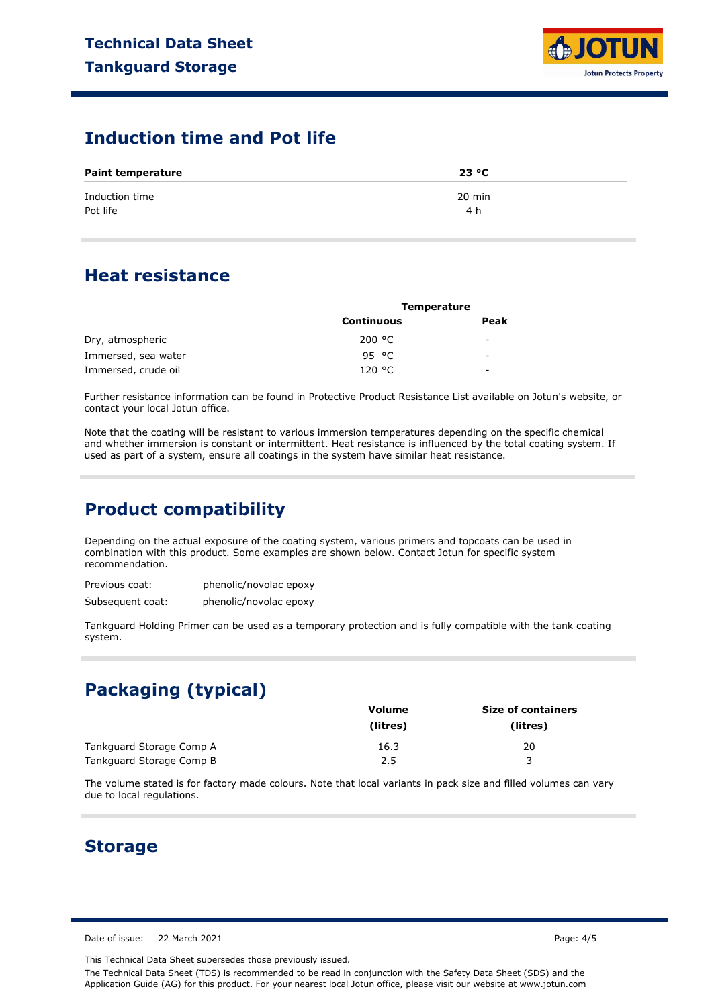

### **Induction time and Pot life**

| <b>Paint temperature</b>   | 23 °C         |  |
|----------------------------|---------------|--|
| Induction time<br>Pot life | 20 min<br>4 h |  |

### **Heat resistance**

|                     | <b>Temperature</b> |                          |  |
|---------------------|--------------------|--------------------------|--|
|                     | <b>Continuous</b>  | Peak                     |  |
| Dry, atmospheric    | 200 °C             | -                        |  |
| Immersed, sea water | 95 °C              | $\overline{\phantom{a}}$ |  |
| Immersed, crude oil | 120 °C             | -                        |  |

Further resistance information can be found in Protective Product Resistance List available on Jotun's website, or contact your local Jotun office.

Note that the coating will be resistant to various immersion temperatures depending on the specific chemical and whether immersion is constant or intermittent. Heat resistance is influenced by the total coating system. If used as part of a system, ensure all coatings in the system have similar heat resistance.

## **Product compatibility**

Depending on the actual exposure of the coating system, various primers and topcoats can be used in combination with this product. Some examples are shown below. Contact Jotun for specific system recommendation.

| Previous coat:   | phenolic/novolac epoxy |
|------------------|------------------------|
| Subsequent coat: | phenolic/novolac epoxy |

Tankguard Holding Primer can be used as a temporary protection and is fully compatible with the tank coating system.

# **Packaging (typical)**

|                          | Volume   | <b>Size of containers</b> |  |  |
|--------------------------|----------|---------------------------|--|--|
|                          | (litres) | (litres)                  |  |  |
| Tankguard Storage Comp A | 16.3     | 20                        |  |  |
| Tankguard Storage Comp B | 2.5      |                           |  |  |

The volume stated is for factory made colours. Note that local variants in pack size and filled volumes can vary due to local regulations.

### **Storage**

Date of issue: 22 March 2021 **Page: 4/5** 

This Technical Data Sheet supersedes those previously issued.